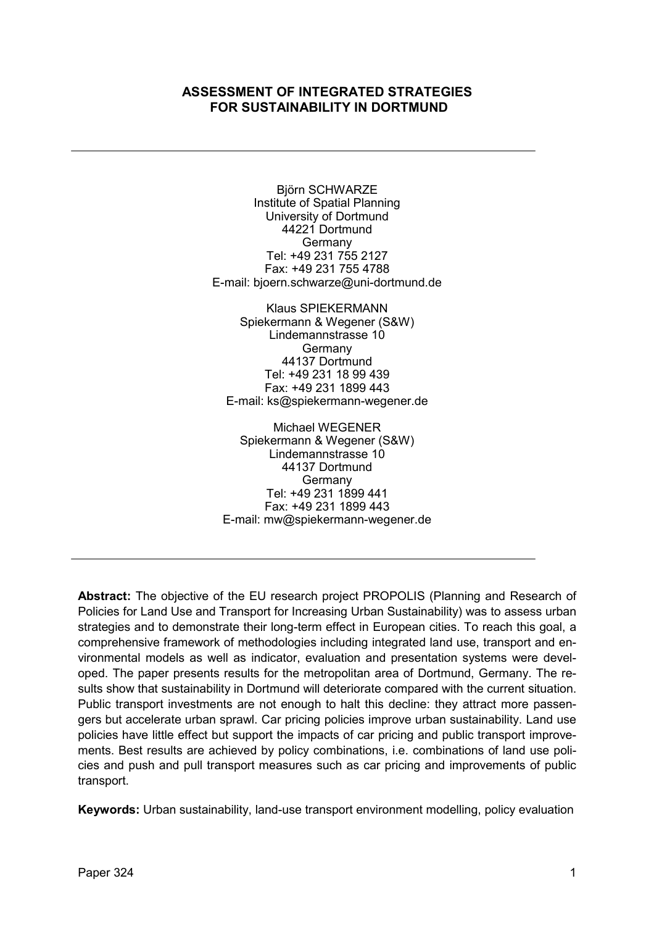# **ASSESSMENT OF INTEGRATED STRATEGIES FOR SUSTAINABILITY IN DORTMUND**

Björn SCHWARZE Institute of Spatial Planning University of Dortmund 44221 Dortmund **Germany** Tel: +49 231 755 2127 Fax: +49 231 755 4788 E-mail: bjoern.schwarze@uni-dortmund.de

Klaus SPIEKERMANN Spiekermann & Wegener (S&W) Lindemannstrasse 10 Germany 44137 Dortmund Tel: +49 231 18 99 439 Fax: +49 231 1899 443 E-mail: ks@spiekermann-wegener.de

Michael WEGENER Spiekermann & Wegener (S&W) Lindemannstrasse 10 44137 Dortmund Germany Tel: +49 231 1899 441 Fax: +49 231 1899 443 E-mail: mw@spiekermann-wegener.de

**Abstract:** The objective of the EU research project PROPOLIS (Planning and Research of Policies for Land Use and Transport for Increasing Urban Sustainability) was to assess urban strategies and to demonstrate their long-term effect in European cities. To reach this goal, a comprehensive framework of methodologies including integrated land use, transport and environmental models as well as indicator, evaluation and presentation systems were developed. The paper presents results for the metropolitan area of Dortmund, Germany. The results show that sustainability in Dortmund will deteriorate compared with the current situation. Public transport investments are not enough to halt this decline: they attract more passengers but accelerate urban sprawl. Car pricing policies improve urban sustainability. Land use policies have little effect but support the impacts of car pricing and public transport improvements. Best results are achieved by policy combinations, i.e. combinations of land use policies and push and pull transport measures such as car pricing and improvements of public transport.

**Keywords:** Urban sustainability, land-use transport environment modelling, policy evaluation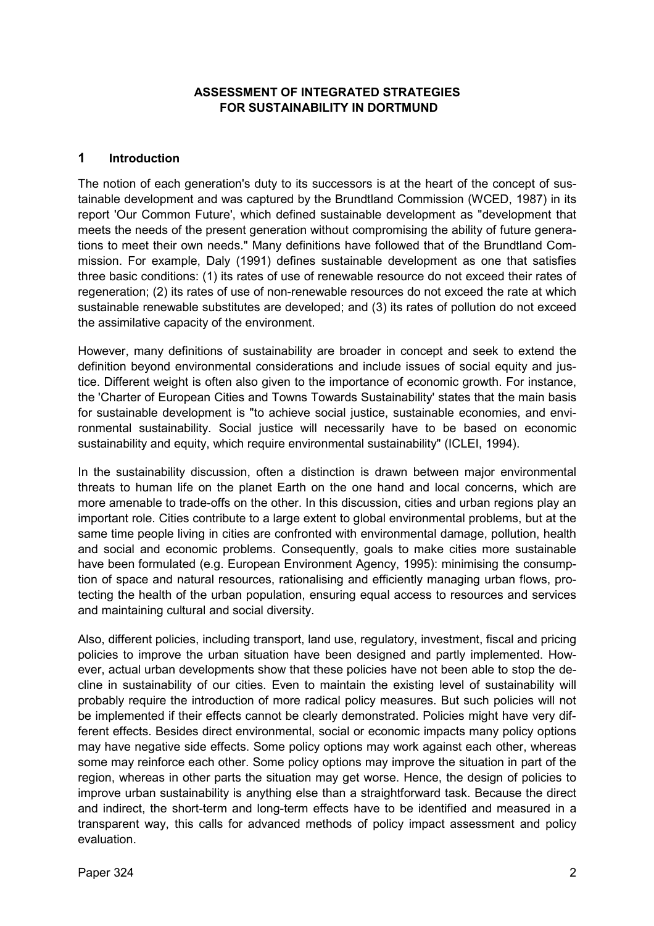### **ASSESSMENT OF INTEGRATED STRATEGIES FOR SUSTAINABILITY IN DORTMUND**

### **1 Introduction**

The notion of each generation's duty to its successors is at the heart of the concept of sustainable development and was captured by the Brundtland Commission (WCED, 1987) in its report 'Our Common Future', which defined sustainable development as "development that meets the needs of the present generation without compromising the ability of future generations to meet their own needs." Many definitions have followed that of the Brundtland Commission. For example, Daly (1991) defines sustainable development as one that satisfies three basic conditions: (1) its rates of use of renewable resource do not exceed their rates of regeneration; (2) its rates of use of non-renewable resources do not exceed the rate at which sustainable renewable substitutes are developed; and (3) its rates of pollution do not exceed the assimilative capacity of the environment.

However, many definitions of sustainability are broader in concept and seek to extend the definition beyond environmental considerations and include issues of social equity and justice. Different weight is often also given to the importance of economic growth. For instance, the 'Charter of European Cities and Towns Towards Sustainability' states that the main basis for sustainable development is "to achieve social justice, sustainable economies, and environmental sustainability. Social justice will necessarily have to be based on economic sustainability and equity, which require environmental sustainability" (ICLEI, 1994).

In the sustainability discussion, often a distinction is drawn between major environmental threats to human life on the planet Earth on the one hand and local concerns, which are more amenable to trade-offs on the other. In this discussion, cities and urban regions play an important role. Cities contribute to a large extent to global environmental problems, but at the same time people living in cities are confronted with environmental damage, pollution, health and social and economic problems. Consequently, goals to make cities more sustainable have been formulated (e.g. European Environment Agency, 1995): minimising the consumption of space and natural resources, rationalising and efficiently managing urban flows, protecting the health of the urban population, ensuring equal access to resources and services and maintaining cultural and social diversity.

Also, different policies, including transport, land use, regulatory, investment, fiscal and pricing policies to improve the urban situation have been designed and partly implemented. However, actual urban developments show that these policies have not been able to stop the decline in sustainability of our cities. Even to maintain the existing level of sustainability will probably require the introduction of more radical policy measures. But such policies will not be implemented if their effects cannot be clearly demonstrated. Policies might have very different effects. Besides direct environmental, social or economic impacts many policy options may have negative side effects. Some policy options may work against each other, whereas some may reinforce each other. Some policy options may improve the situation in part of the region, whereas in other parts the situation may get worse. Hence, the design of policies to improve urban sustainability is anything else than a straightforward task. Because the direct and indirect, the short-term and long-term effects have to be identified and measured in a transparent way, this calls for advanced methods of policy impact assessment and policy evaluation.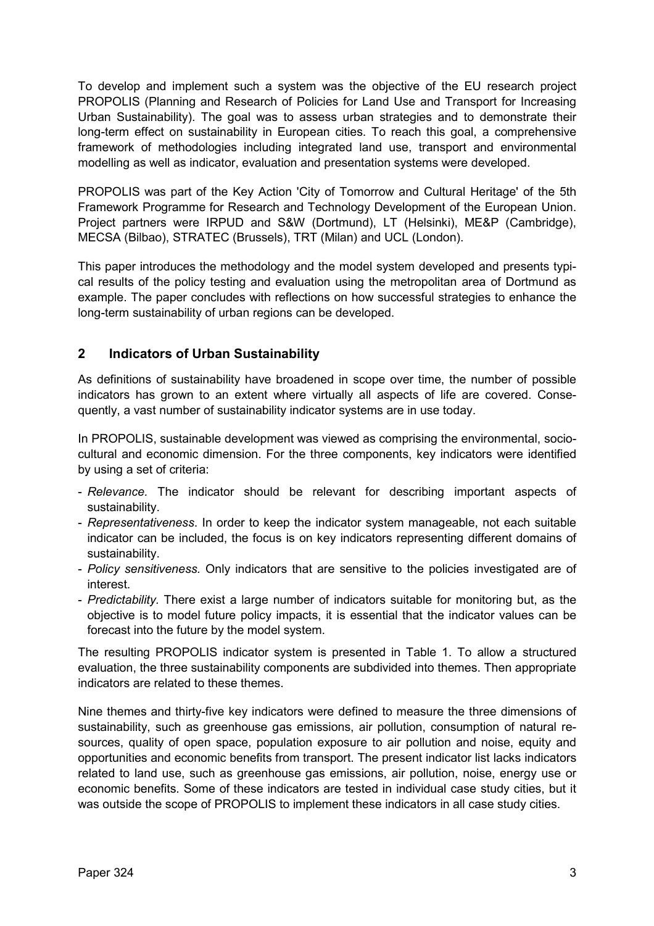To develop and implement such a system was the objective of the EU research project PROPOLIS (Planning and Research of Policies for Land Use and Transport for Increasing Urban Sustainability). The goal was to assess urban strategies and to demonstrate their long-term effect on sustainability in European cities. To reach this goal, a comprehensive framework of methodologies including integrated land use, transport and environmental modelling as well as indicator, evaluation and presentation systems were developed.

PROPOLIS was part of the Key Action 'City of Tomorrow and Cultural Heritage' of the 5th Framework Programme for Research and Technology Development of the European Union. Project partners were IRPUD and S&W (Dortmund), LT (Helsinki), ME&P (Cambridge), MECSA (Bilbao), STRATEC (Brussels), TRT (Milan) and UCL (London).

This paper introduces the methodology and the model system developed and presents typical results of the policy testing and evaluation using the metropolitan area of Dortmund as example. The paper concludes with reflections on how successful strategies to enhance the long-term sustainability of urban regions can be developed.

# **2 Indicators of Urban Sustainability**

As definitions of sustainability have broadened in scope over time, the number of possible indicators has grown to an extent where virtually all aspects of life are covered. Consequently, a vast number of sustainability indicator systems are in use today.

In PROPOLIS, sustainable development was viewed as comprising the environmental, sociocultural and economic dimension. For the three components, key indicators were identified by using a set of criteria:

- *Relevance.* The indicator should be relevant for describing important aspects of sustainability.
- *Representativeness*. In order to keep the indicator system manageable, not each suitable indicator can be included, the focus is on key indicators representing different domains of sustainability.
- *Policy sensitiveness.* Only indicators that are sensitive to the policies investigated are of interest.
- *Predictability.* There exist a large number of indicators suitable for monitoring but, as the objective is to model future policy impacts, it is essential that the indicator values can be forecast into the future by the model system.

The resulting PROPOLIS indicator system is presented in Table 1. To allow a structured evaluation, the three sustainability components are subdivided into themes. Then appropriate indicators are related to these themes.

Nine themes and thirty-five key indicators were defined to measure the three dimensions of sustainability, such as greenhouse gas emissions, air pollution, consumption of natural resources, quality of open space, population exposure to air pollution and noise, equity and opportunities and economic benefits from transport. The present indicator list lacks indicators related to land use, such as greenhouse gas emissions, air pollution, noise, energy use or economic benefits. Some of these indicators are tested in individual case study cities, but it was outside the scope of PROPOLIS to implement these indicators in all case study cities.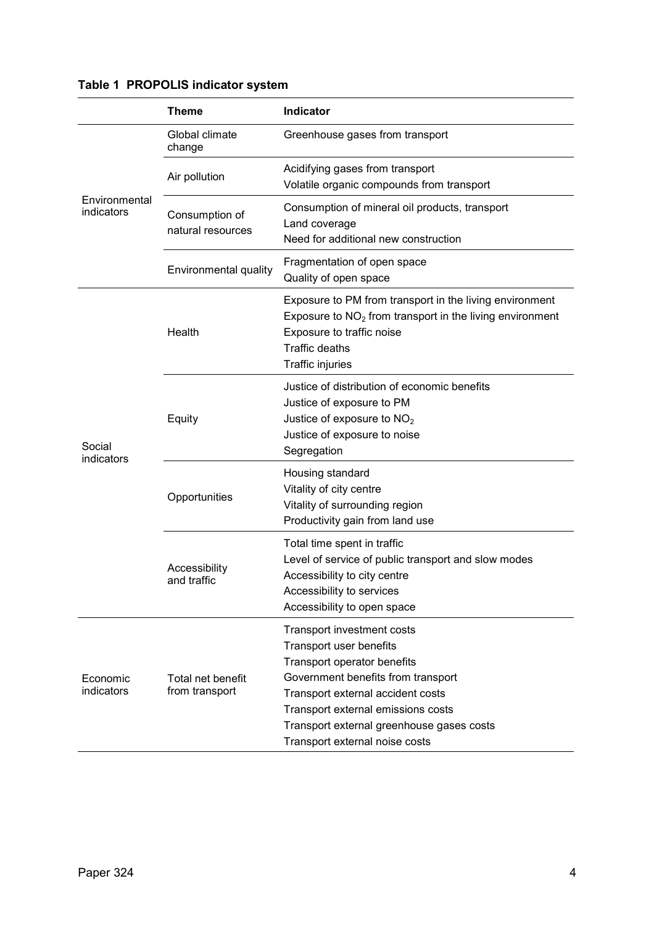|                             | <b>Theme</b>                        | Indicator                                                                                                                                                                                                                                                                            |
|-----------------------------|-------------------------------------|--------------------------------------------------------------------------------------------------------------------------------------------------------------------------------------------------------------------------------------------------------------------------------------|
| Environmental<br>indicators | Global climate<br>change            | Greenhouse gases from transport                                                                                                                                                                                                                                                      |
|                             | Air pollution                       | Acidifying gases from transport<br>Volatile organic compounds from transport                                                                                                                                                                                                         |
|                             | Consumption of<br>natural resources | Consumption of mineral oil products, transport<br>Land coverage<br>Need for additional new construction                                                                                                                                                                              |
|                             | Environmental quality               | Fragmentation of open space<br>Quality of open space                                                                                                                                                                                                                                 |
| Social<br>indicators        | Health                              | Exposure to PM from transport in the living environment<br>Exposure to $NO2$ from transport in the living environment<br>Exposure to traffic noise<br><b>Traffic deaths</b><br>Traffic injuries                                                                                      |
|                             | Equity                              | Justice of distribution of economic benefits<br>Justice of exposure to PM<br>Justice of exposure to $NO2$<br>Justice of exposure to noise<br>Segregation                                                                                                                             |
|                             | Opportunities                       | Housing standard<br>Vitality of city centre<br>Vitality of surrounding region<br>Productivity gain from land use                                                                                                                                                                     |
|                             | Accessibility<br>and traffic        | Total time spent in traffic<br>Level of service of public transport and slow modes<br>Accessibility to city centre<br>Accessibility to services<br>Accessibility to open space                                                                                                       |
| Economic<br>indicators      | Total net benefit<br>from transport | Transport investment costs<br>Transport user benefits<br>Transport operator benefits<br>Government benefits from transport<br>Transport external accident costs<br>Transport external emissions costs<br>Transport external greenhouse gases costs<br>Transport external noise costs |

# **Table 1 PROPOLIS indicator system**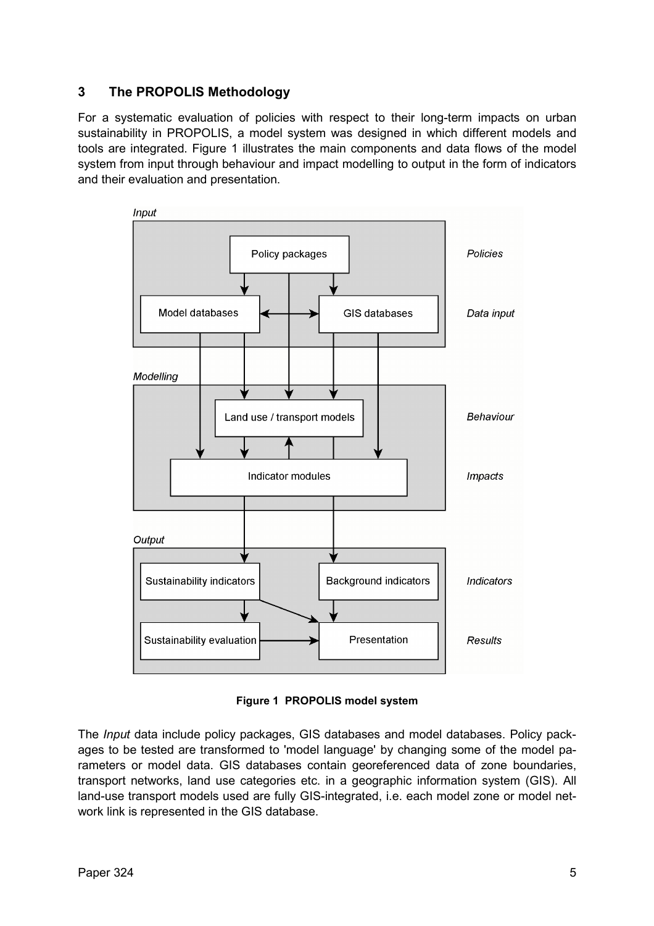# **3 The PROPOLIS Methodology**

For a systematic evaluation of policies with respect to their long-term impacts on urban sustainability in PROPOLIS, a model system was designed in which different models and tools are integrated. Figure 1 illustrates the main components and data flows of the model system from input through behaviour and impact modelling to output in the form of indicators and their evaluation and presentation.



**Figure 1 PROPOLIS model system**

The *Input* data include policy packages, GIS databases and model databases. Policy packages to be tested are transformed to 'model language' by changing some of the model parameters or model data. GIS databases contain georeferenced data of zone boundaries, transport networks, land use categories etc. in a geographic information system (GIS). All land-use transport models used are fully GIS-integrated, i.e. each model zone or model network link is represented in the GIS database.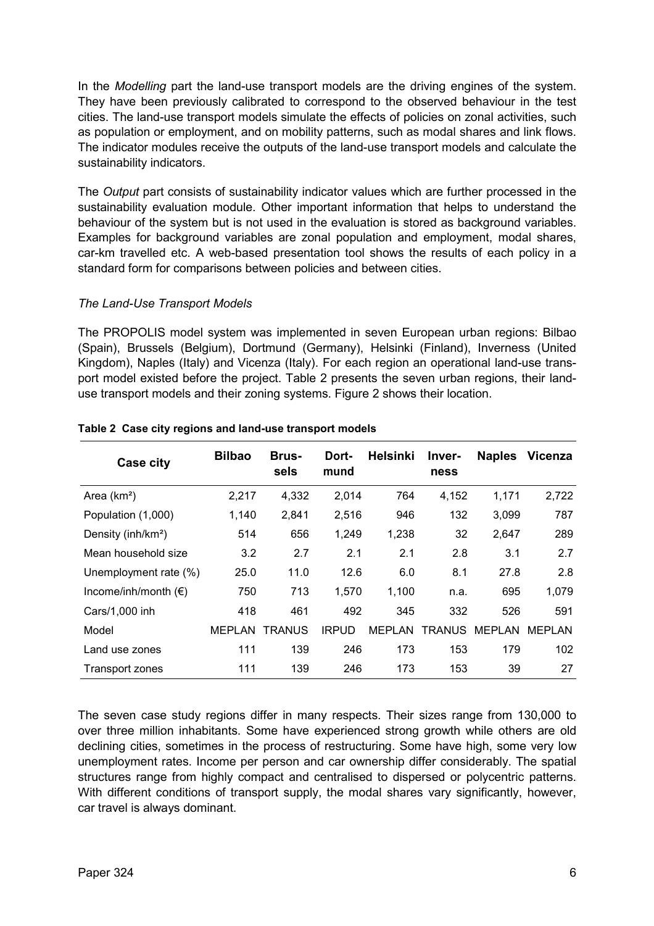In the *Modelling* part the land-use transport models are the driving engines of the system. They have been previously calibrated to correspond to the observed behaviour in the test cities. The land-use transport models simulate the effects of policies on zonal activities, such as population or employment, and on mobility patterns, such as modal shares and link flows. The indicator modules receive the outputs of the land-use transport models and calculate the sustainability indicators.

The *Output* part consists of sustainability indicator values which are further processed in the sustainability evaluation module. Other important information that helps to understand the behaviour of the system but is not used in the evaluation is stored as background variables. Examples for background variables are zonal population and employment, modal shares, car-km travelled etc. A web-based presentation tool shows the results of each policy in a standard form for comparisons between policies and between cities.

#### *The Land-Use Transport Models*

The PROPOLIS model system was implemented in seven European urban regions: Bilbao (Spain), Brussels (Belgium), Dortmund (Germany), Helsinki (Finland), Inverness (United Kingdom), Naples (Italy) and Vicenza (Italy). For each region an operational land-use transport model existed before the project. Table 2 presents the seven urban regions, their landuse transport models and their zoning systems. Figure 2 shows their location.

| <b>Case city</b>               | <b>Bilbao</b> | <b>Brus-</b><br>sels | Dort-<br>mund | <b>Helsinki</b> | Inver-<br>ness | <b>Naples</b> | <b>Vicenza</b> |
|--------------------------------|---------------|----------------------|---------------|-----------------|----------------|---------------|----------------|
| Area $(km2)$                   | 2,217         | 4,332                | 2,014         | 764             | 4,152          | 1,171         | 2,722          |
| Population (1,000)             | 1,140         | 2,841                | 2,516         | 946             | 132            | 3,099         | 787            |
| Density (inh/km <sup>2</sup> ) | 514           | 656                  | 1,249         | 1,238           | 32             | 2,647         | 289            |
| Mean household size            | 3.2           | 2.7                  | 2.1           | 2.1             | 2.8            | 3.1           | 2.7            |
| Unemployment rate (%)          | 25.0          | 11.0                 | 12.6          | 6.0             | 8.1            | 27.8          | 2.8            |
| Income/inh/month $(\epsilon)$  | 750           | 713                  | 1,570         | 1,100           | n.a.           | 695           | 1,079          |
| Cars/1,000 inh                 | 418           | 461                  | 492           | 345             | 332            | 526           | 591            |
| Model                          | <b>MEPLAN</b> | TRANUS               | <b>IRPUD</b>  | <b>MEPLAN</b>   | <b>TRANUS</b>  | MEPLAN        | <b>MEPLAN</b>  |
| Land use zones                 | 111           | 139                  | 246           | 173             | 153            | 179           | 102            |
| Transport zones                | 111           | 139                  | 246           | 173             | 153            | 39            | 27             |

#### **Table 2 Case city regions and land-use transport models**

The seven case study regions differ in many respects. Their sizes range from 130,000 to over three million inhabitants. Some have experienced strong growth while others are old declining cities, sometimes in the process of restructuring. Some have high, some very low unemployment rates. Income per person and car ownership differ considerably. The spatial structures range from highly compact and centralised to dispersed or polycentric patterns. With different conditions of transport supply, the modal shares vary significantly, however, car travel is always dominant.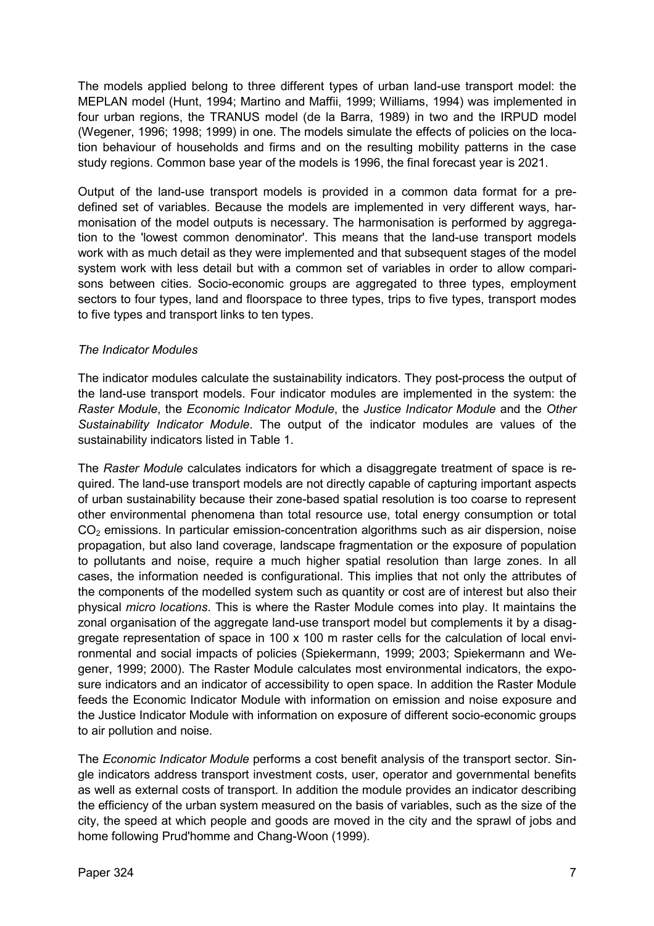The models applied belong to three different types of urban land-use transport model: the MEPLAN model (Hunt, 1994; Martino and Maffii, 1999; Williams, 1994) was implemented in four urban regions, the TRANUS model (de la Barra, 1989) in two and the IRPUD model (Wegener, 1996; 1998; 1999) in one. The models simulate the effects of policies on the location behaviour of households and firms and on the resulting mobility patterns in the case study regions. Common base year of the models is 1996, the final forecast year is 2021.

Output of the land-use transport models is provided in a common data format for a predefined set of variables. Because the models are implemented in very different ways, harmonisation of the model outputs is necessary. The harmonisation is performed by aggregation to the 'lowest common denominator'. This means that the land-use transport models work with as much detail as they were implemented and that subsequent stages of the model system work with less detail but with a common set of variables in order to allow comparisons between cities. Socio-economic groups are aggregated to three types, employment sectors to four types, land and floorspace to three types, trips to five types, transport modes to five types and transport links to ten types.

#### *The Indicator Modules*

The indicator modules calculate the sustainability indicators. They post-process the output of the land-use transport models. Four indicator modules are implemented in the system: the *Raster Module*, the *Economic Indicator Module*, the *Justice Indicator Module* and the *Other Sustainability Indicator Module*. The output of the indicator modules are values of the sustainability indicators listed in Table 1.

The *Raster Module* calculates indicators for which a disaggregate treatment of space is required. The land-use transport models are not directly capable of capturing important aspects of urban sustainability because their zone-based spatial resolution is too coarse to represent other environmental phenomena than total resource use, total energy consumption or total CO<sub>2</sub> emissions. In particular emission-concentration algorithms such as air dispersion, noise propagation, but also land coverage, landscape fragmentation or the exposure of population to pollutants and noise, require a much higher spatial resolution than large zones. In all cases, the information needed is configurational. This implies that not only the attributes of the components of the modelled system such as quantity or cost are of interest but also their physical *micro locations*. This is where the Raster Module comes into play. It maintains the zonal organisation of the aggregate land-use transport model but complements it by a disaggregate representation of space in 100 x 100 m raster cells for the calculation of local environmental and social impacts of policies (Spiekermann, 1999; 2003; Spiekermann and Wegener, 1999; 2000). The Raster Module calculates most environmental indicators, the exposure indicators and an indicator of accessibility to open space. In addition the Raster Module feeds the Economic Indicator Module with information on emission and noise exposure and the Justice Indicator Module with information on exposure of different socio-economic groups to air pollution and noise.

The *Economic Indicator Module* performs a cost benefit analysis of the transport sector. Single indicators address transport investment costs, user, operator and governmental benefits as well as external costs of transport. In addition the module provides an indicator describing the efficiency of the urban system measured on the basis of variables, such as the size of the city, the speed at which people and goods are moved in the city and the sprawl of jobs and home following Prud'homme and Chang-Woon (1999).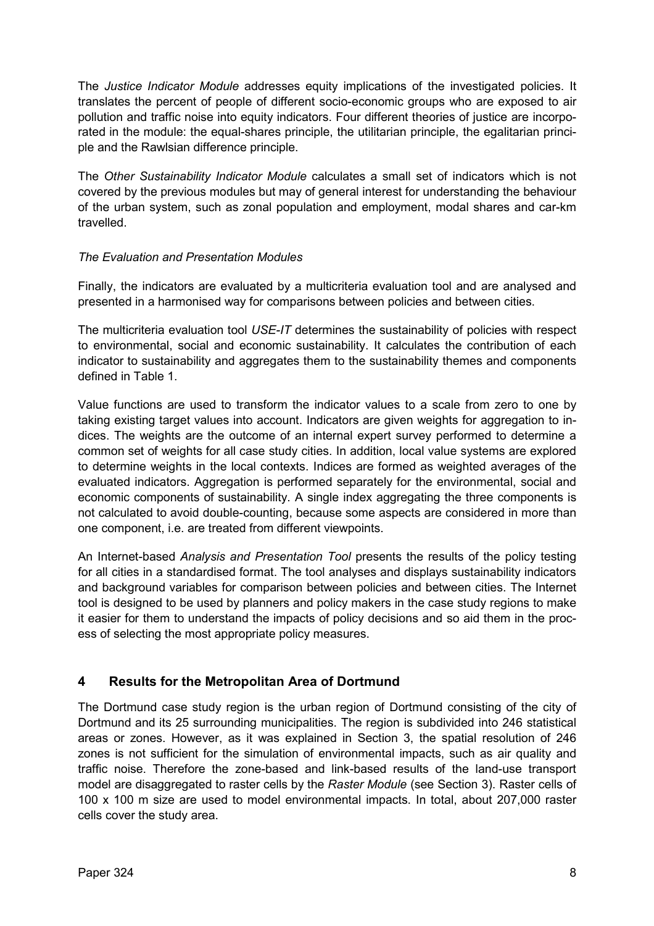The *Justice Indicator Module* addresses equity implications of the investigated policies. It translates the percent of people of different socio-economic groups who are exposed to air pollution and traffic noise into equity indicators. Four different theories of justice are incorporated in the module: the equal-shares principle, the utilitarian principle, the egalitarian principle and the Rawlsian difference principle.

The *Other Sustainability Indicator Module* calculates a small set of indicators which is not covered by the previous modules but may of general interest for understanding the behaviour of the urban system, such as zonal population and employment, modal shares and car-km travelled.

## *The Evaluation and Presentation Modules*

Finally, the indicators are evaluated by a multicriteria evaluation tool and are analysed and presented in a harmonised way for comparisons between policies and between cities.

The multicriteria evaluation tool *USE-IT* determines the sustainability of policies with respect to environmental, social and economic sustainability. It calculates the contribution of each indicator to sustainability and aggregates them to the sustainability themes and components defined in Table 1.

Value functions are used to transform the indicator values to a scale from zero to one by taking existing target values into account. Indicators are given weights for aggregation to indices. The weights are the outcome of an internal expert survey performed to determine a common set of weights for all case study cities. In addition, local value systems are explored to determine weights in the local contexts. Indices are formed as weighted averages of the evaluated indicators. Aggregation is performed separately for the environmental, social and economic components of sustainability. A single index aggregating the three components is not calculated to avoid double-counting, because some aspects are considered in more than one component, i.e. are treated from different viewpoints.

An Internet-based *Analysis and Presentation Tool* presents the results of the policy testing for all cities in a standardised format. The tool analyses and displays sustainability indicators and background variables for comparison between policies and between cities. The Internet tool is designed to be used by planners and policy makers in the case study regions to make it easier for them to understand the impacts of policy decisions and so aid them in the process of selecting the most appropriate policy measures.

# **4 Results for the Metropolitan Area of Dortmund**

The Dortmund case study region is the urban region of Dortmund consisting of the city of Dortmund and its 25 surrounding municipalities. The region is subdivided into 246 statistical areas or zones. However, as it was explained in Section 3, the spatial resolution of 246 zones is not sufficient for the simulation of environmental impacts, such as air quality and traffic noise. Therefore the zone-based and link-based results of the land-use transport model are disaggregated to raster cells by the *Raster Module* (see Section 3). Raster cells of 100 x 100 m size are used to model environmental impacts. In total, about 207,000 raster cells cover the study area.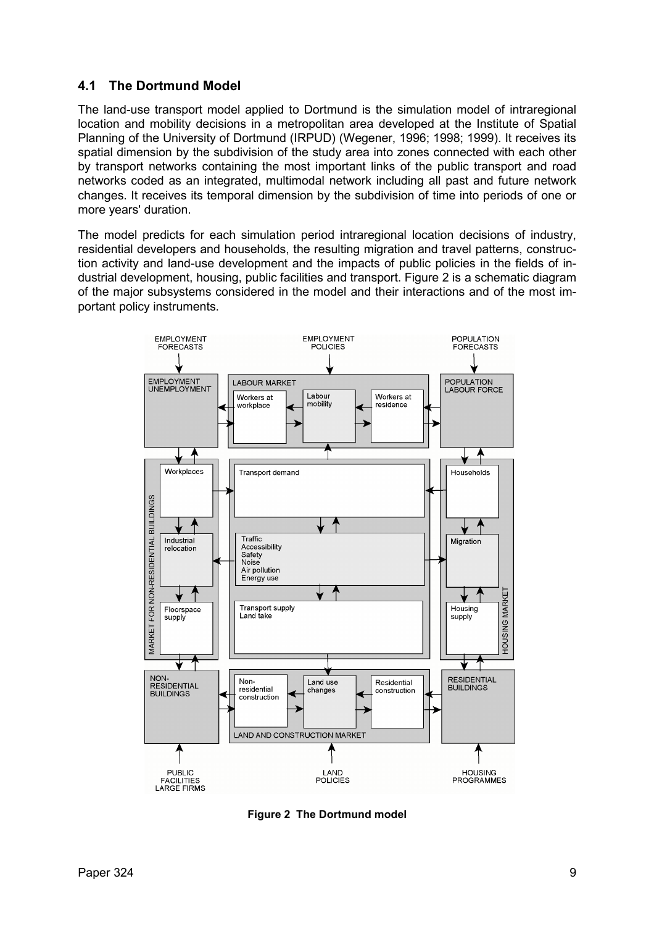# **4.1 The Dortmund Model**

The land-use transport model applied to Dortmund is the simulation model of intraregional location and mobility decisions in a metropolitan area developed at the Institute of Spatial Planning of the University of Dortmund (IRPUD) (Wegener, 1996; 1998; 1999). It receives its spatial dimension by the subdivision of the study area into zones connected with each other by transport networks containing the most important links of the public transport and road networks coded as an integrated, multimodal network including all past and future network changes. It receives its temporal dimension by the subdivision of time into periods of one or more years' duration.

The model predicts for each simulation period intraregional location decisions of industry, residential developers and households, the resulting migration and travel patterns, construction activity and land-use development and the impacts of public policies in the fields of industrial development, housing, public facilities and transport. Figure 2 is a schematic diagram of the major subsystems considered in the model and their interactions and of the most important policy instruments.



**Figure 2 The Dortmund model**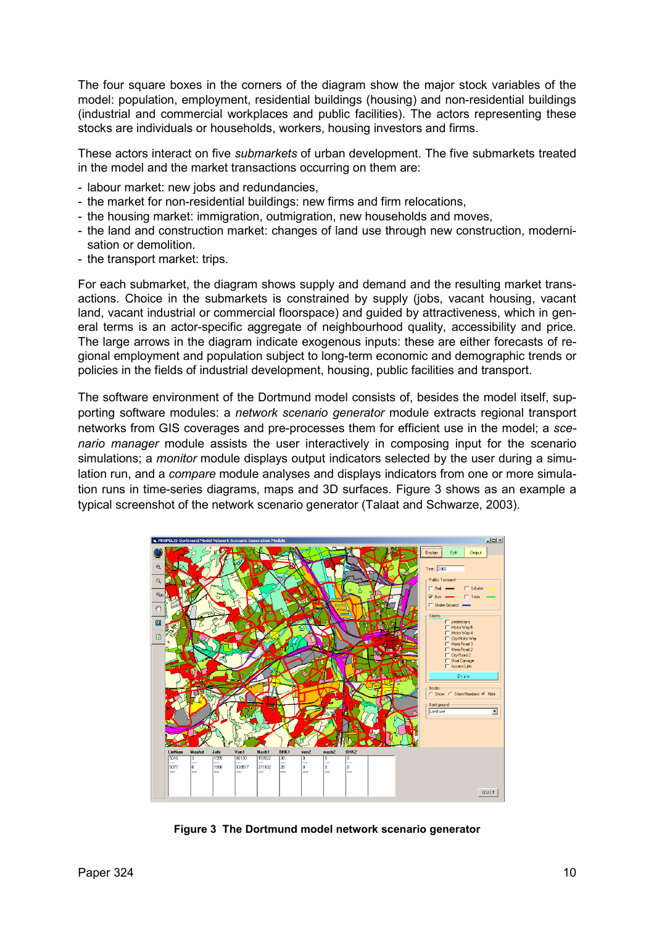The four square boxes in the corners of the diagram show the major stock variables of the model: population, employment, residential buildings (housing) and non-residential buildings (industrial and commercial workplaces and public facilities). The actors representing these stocks are individuals or households, workers, housing investors and firms.

These actors interact on five *submarkets* of urban development. The five submarkets treated in the model and the market transactions occurring on them are:

- labour market: new jobs and redundancies,
- the market for non-residential buildings: new firms and firm relocations,
- the housing market: immigration, outmigration, new households and moves,
- the land and construction market: changes of land use through new construction, modernisation or demolition.
- the transport market: trips.

For each submarket, the diagram shows supply and demand and the resulting market transactions. Choice in the submarkets is constrained by supply (jobs, vacant housing, vacant land, vacant industrial or commercial floorspace) and guided by attractiveness, which in general terms is an actor-specific aggregate of neighbourhood quality, accessibility and price. The large arrows in the diagram indicate exogenous inputs: these are either forecasts of regional employment and population subject to long-term economic and demographic trends or policies in the fields of industrial development, housing, public facilities and transport.

The software environment of the Dortmund model consists of, besides the model itself, supporting software modules: a *network scenario generator* module extracts regional transport networks from GIS coverages and pre-processes them for efficient use in the model; a *scenario manager* module assists the user interactively in composing input for the scenario simulations; a *monitor* module displays output indicators selected by the user during a simulation run, and a *compare* module analyses and displays indicators from one or more simulation runs in time-series diagrams, maps and 3D surfaces. Figure 3 shows as an example a typical screenshot of the network scenario generator (Talaat and Schwarze, 2003).



**Figure 3 The Dortmund model network scenario generator**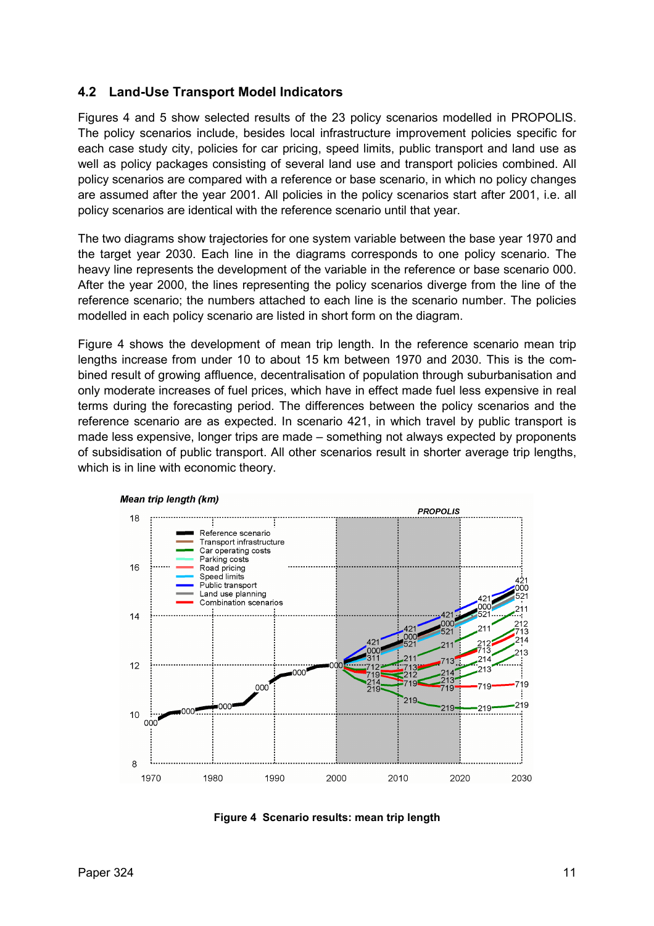# **4.2 Land-Use Transport Model Indicators**

Figures 4 and 5 show selected results of the 23 policy scenarios modelled in PROPOLIS. The policy scenarios include, besides local infrastructure improvement policies specific for each case study city, policies for car pricing, speed limits, public transport and land use as well as policy packages consisting of several land use and transport policies combined. All policy scenarios are compared with a reference or base scenario, in which no policy changes are assumed after the year 2001. All policies in the policy scenarios start after 2001, i.e. all policy scenarios are identical with the reference scenario until that year.

The two diagrams show trajectories for one system variable between the base year 1970 and the target year 2030. Each line in the diagrams corresponds to one policy scenario. The heavy line represents the development of the variable in the reference or base scenario 000. After the year 2000, the lines representing the policy scenarios diverge from the line of the reference scenario; the numbers attached to each line is the scenario number. The policies modelled in each policy scenario are listed in short form on the diagram.

Figure 4 shows the development of mean trip length. In the reference scenario mean trip lengths increase from under 10 to about 15 km between 1970 and 2030. This is the combined result of growing affluence, decentralisation of population through suburbanisation and only moderate increases of fuel prices, which have in effect made fuel less expensive in real terms during the forecasting period. The differences between the policy scenarios and the reference scenario are as expected. In scenario 421, in which travel by public transport is made less expensive, longer trips are made – something not always expected by proponents of subsidisation of public transport. All other scenarios result in shorter average trip lengths, which is in line with economic theory.



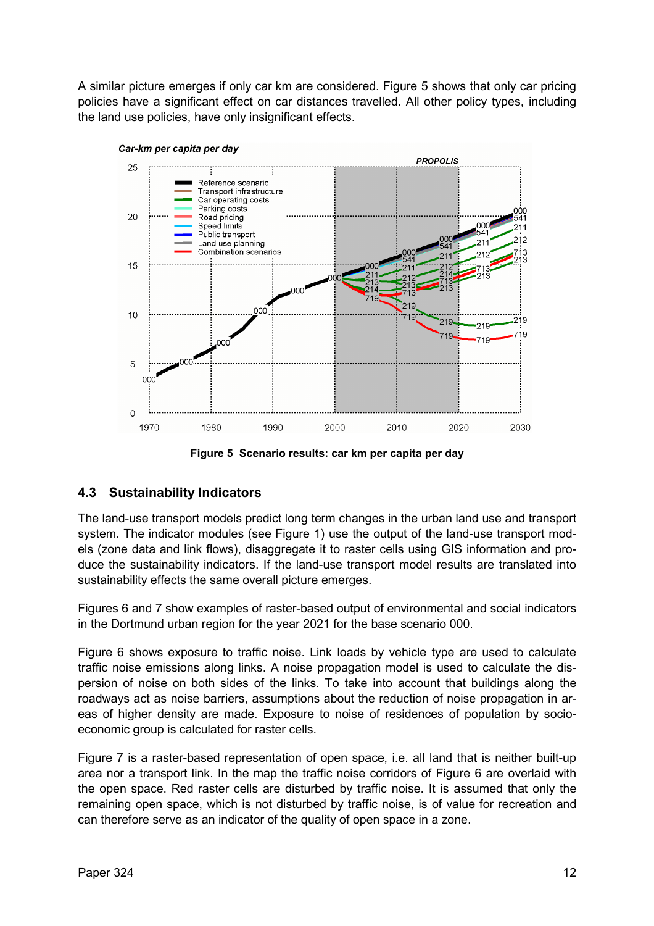A similar picture emerges if only car km are considered. Figure 5 shows that only car pricing policies have a significant effect on car distances travelled. All other policy types, including the land use policies, have only insignificant effects.



**Figure 5 Scenario results: car km per capita per day**

# **4.3 Sustainability Indicators**

The land-use transport models predict long term changes in the urban land use and transport system. The indicator modules (see Figure 1) use the output of the land-use transport models (zone data and link flows), disaggregate it to raster cells using GIS information and produce the sustainability indicators. If the land-use transport model results are translated into sustainability effects the same overall picture emerges.

Figures 6 and 7 show examples of raster-based output of environmental and social indicators in the Dortmund urban region for the year 2021 for the base scenario 000.

Figure 6 shows exposure to traffic noise. Link loads by vehicle type are used to calculate traffic noise emissions along links. A noise propagation model is used to calculate the dispersion of noise on both sides of the links. To take into account that buildings along the roadways act as noise barriers, assumptions about the reduction of noise propagation in areas of higher density are made. Exposure to noise of residences of population by socioeconomic group is calculated for raster cells.

Figure 7 is a raster-based representation of open space, i.e. all land that is neither built-up area nor a transport link. In the map the traffic noise corridors of Figure 6 are overlaid with the open space. Red raster cells are disturbed by traffic noise. It is assumed that only the remaining open space, which is not disturbed by traffic noise, is of value for recreation and can therefore serve as an indicator of the quality of open space in a zone.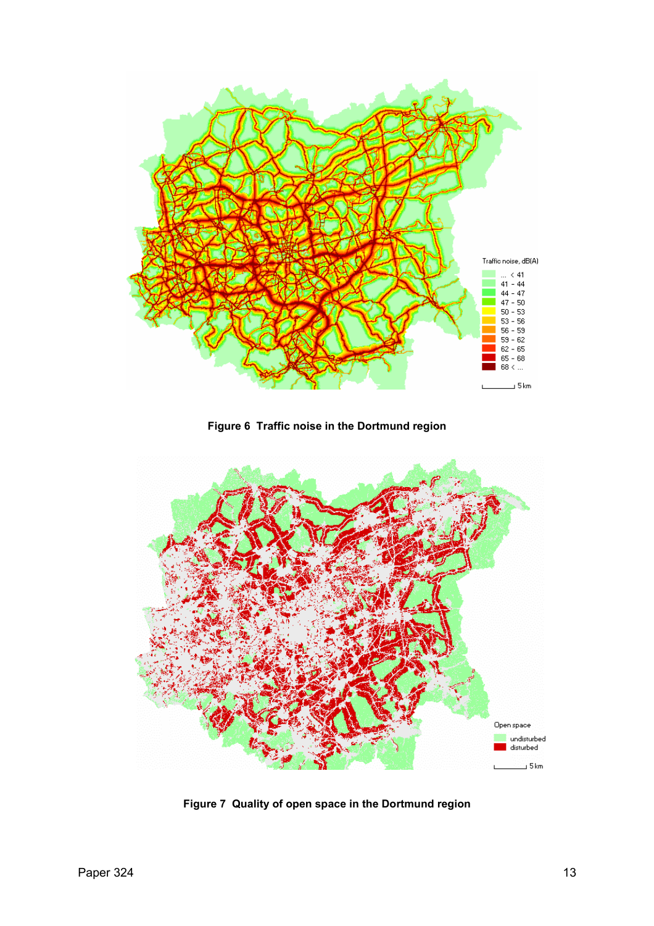

**Figure 6 Traffic noise in the Dortmund region**

![](_page_12_Figure_2.jpeg)

**Figure 7 Quality of open space in the Dortmund region**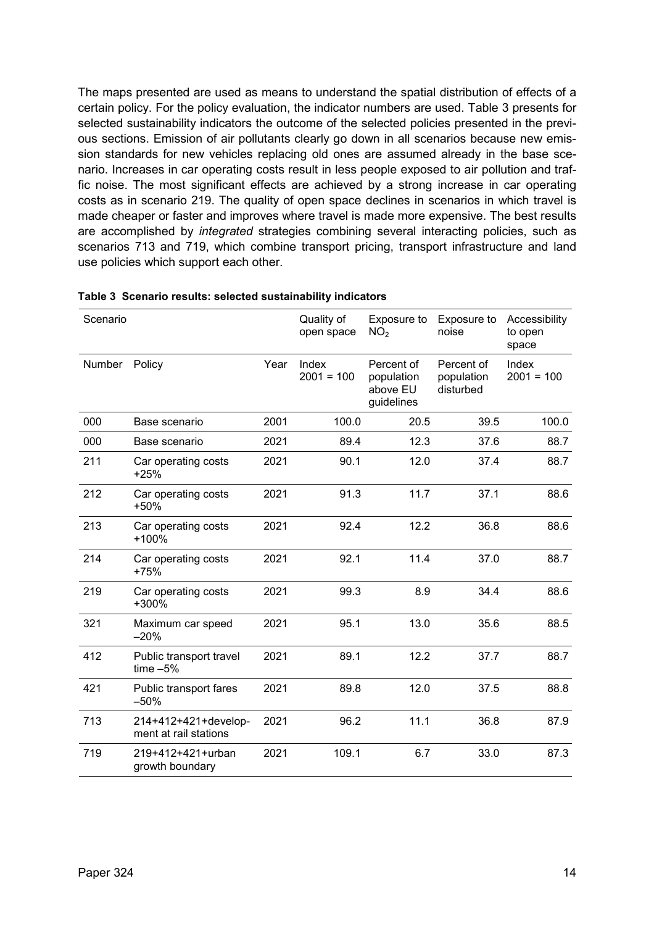The maps presented are used as means to understand the spatial distribution of effects of a certain policy. For the policy evaluation, the indicator numbers are used. Table 3 presents for selected sustainability indicators the outcome of the selected policies presented in the previous sections. Emission of air pollutants clearly go down in all scenarios because new emission standards for new vehicles replacing old ones are assumed already in the base scenario. Increases in car operating costs result in less people exposed to air pollution and traffic noise. The most significant effects are achieved by a strong increase in car operating costs as in scenario 219. The quality of open space declines in scenarios in which travel is made cheaper or faster and improves where travel is made more expensive. The best results are accomplished by *integrated* strategies combining several interacting policies, such as scenarios 713 and 719, which combine transport pricing, transport infrastructure and land use policies which support each other.

| Scenario |                                               |      | Quality of<br>open space | Exposure to<br>NO <sub>2</sub>                     | Exposure to<br>noise                  | Accessibility<br>to open<br>space |
|----------|-----------------------------------------------|------|--------------------------|----------------------------------------------------|---------------------------------------|-----------------------------------|
| Number   | Policy                                        | Year | Index<br>$2001 = 100$    | Percent of<br>population<br>above EU<br>guidelines | Percent of<br>population<br>disturbed | Index<br>$2001 = 100$             |
| 000      | Base scenario                                 | 2001 | 100.0                    | 20.5                                               | 39.5                                  | 100.0                             |
| 000      | Base scenario                                 | 2021 | 89.4                     | 12.3                                               | 37.6                                  | 88.7                              |
| 211      | Car operating costs<br>$+25%$                 | 2021 | 90.1                     | 12.0                                               | 37.4                                  | 88.7                              |
| 212      | Car operating costs<br>+50%                   | 2021 | 91.3                     | 11.7                                               | 37.1                                  | 88.6                              |
| 213      | Car operating costs<br>$+100%$                | 2021 | 92.4                     | 12.2                                               | 36.8                                  | 88.6                              |
| 214      | Car operating costs<br>+75%                   | 2021 | 92.1                     | 11.4                                               | 37.0                                  | 88.7                              |
| 219      | Car operating costs<br>+300%                  | 2021 | 99.3                     | 8.9                                                | 34.4                                  | 88.6                              |
| 321      | Maximum car speed<br>$-20%$                   | 2021 | 95.1                     | 13.0                                               | 35.6                                  | 88.5                              |
| 412      | Public transport travel<br>time $-5%$         | 2021 | 89.1                     | 12.2                                               | 37.7                                  | 88.7                              |
| 421      | Public transport fares<br>$-50%$              | 2021 | 89.8                     | 12.0                                               | 37.5                                  | 88.8                              |
| 713      | 214+412+421+develop-<br>ment at rail stations | 2021 | 96.2                     | 11.1                                               | 36.8                                  | 87.9                              |
| 719      | 219+412+421+urban<br>growth boundary          | 2021 | 109.1                    | 6.7                                                | 33.0                                  | 87.3                              |

#### **Table 3 Scenario results: selected sustainability indicators**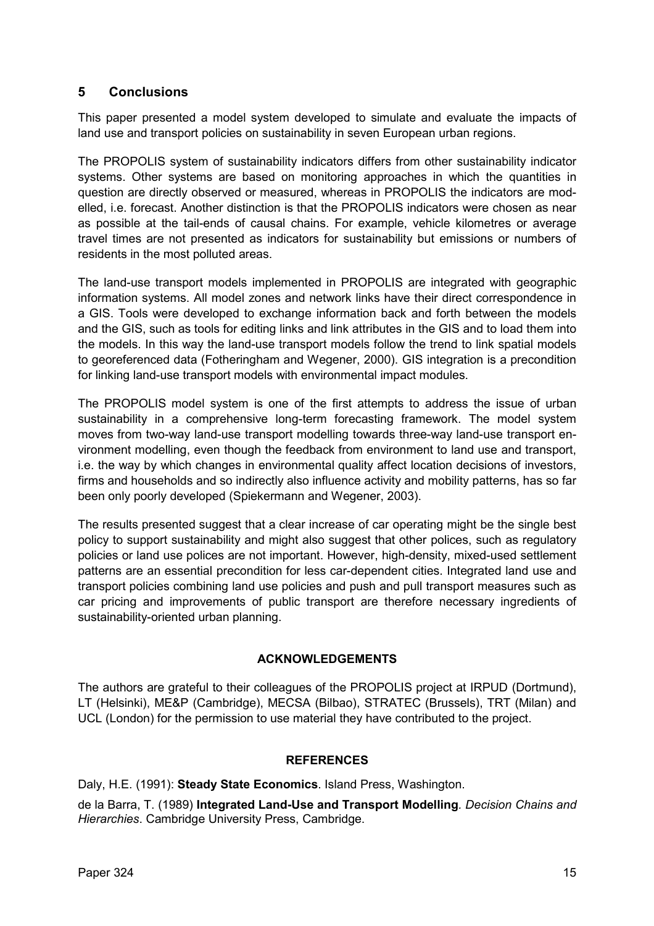## **5 Conclusions**

This paper presented a model system developed to simulate and evaluate the impacts of land use and transport policies on sustainability in seven European urban regions.

The PROPOLIS system of sustainability indicators differs from other sustainability indicator systems. Other systems are based on monitoring approaches in which the quantities in question are directly observed or measured, whereas in PROPOLIS the indicators are modelled, i.e. forecast. Another distinction is that the PROPOLIS indicators were chosen as near as possible at the tail-ends of causal chains. For example, vehicle kilometres or average travel times are not presented as indicators for sustainability but emissions or numbers of residents in the most polluted areas.

The land-use transport models implemented in PROPOLIS are integrated with geographic information systems. All model zones and network links have their direct correspondence in a GIS. Tools were developed to exchange information back and forth between the models and the GIS, such as tools for editing links and link attributes in the GIS and to load them into the models. In this way the land-use transport models follow the trend to link spatial models to georeferenced data (Fotheringham and Wegener, 2000). GIS integration is a precondition for linking land-use transport models with environmental impact modules.

The PROPOLIS model system is one of the first attempts to address the issue of urban sustainability in a comprehensive long-term forecasting framework. The model system moves from two-way land-use transport modelling towards three-way land-use transport environment modelling, even though the feedback from environment to land use and transport, i.e. the way by which changes in environmental quality affect location decisions of investors, firms and households and so indirectly also influence activity and mobility patterns, has so far been only poorly developed (Spiekermann and Wegener, 2003).

The results presented suggest that a clear increase of car operating might be the single best policy to support sustainability and might also suggest that other polices, such as regulatory policies or land use polices are not important. However, high-density, mixed-used settlement patterns are an essential precondition for less car-dependent cities. Integrated land use and transport policies combining land use policies and push and pull transport measures such as car pricing and improvements of public transport are therefore necessary ingredients of sustainability-oriented urban planning.

#### **ACKNOWLEDGEMENTS**

The authors are grateful to their colleagues of the PROPOLIS project at IRPUD (Dortmund), LT (Helsinki), ME&P (Cambridge), MECSA (Bilbao), STRATEC (Brussels), TRT (Milan) and UCL (London) for the permission to use material they have contributed to the project.

#### **REFERENCES**

Daly, H.E. (1991): **Steady State Economics**. Island Press, Washington.

de la Barra, T. (1989) **Integrated Land-Use and Transport Modelling***. Decision Chains and Hierarchies*. Cambridge University Press, Cambridge.